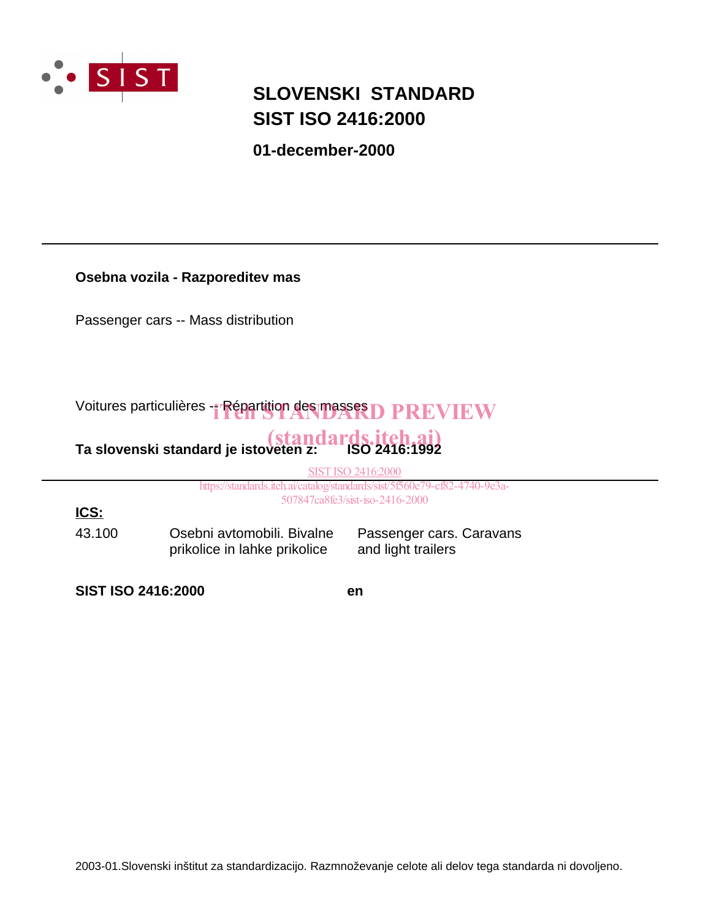

## **SIST ISO 2416:2000 SLOVENSKI STANDARD**

**01-december-2000**

**Osebna vozila - Razporeditev mas**

Passenger cars -- Mass distribution

Voitures particulières -- Répartition des masses D PREVIEW

# **Ta slovenski standard je istoveten z: latandards.jteh.ai)**<br>Ta slovenski standard je istoveten z: liso 2416:1992

|        | <b>SIST ISO 2416:2000</b>                                                                                    |                                                |
|--------|--------------------------------------------------------------------------------------------------------------|------------------------------------------------|
| ICS:   | https://standards.iteh.ai/catalog/standards/sist/5f560e79-cf82-4740-9e3a-<br>507847ca8fe3/sist-iso-2416-2000 |                                                |
| 43.100 | Osebni avtomobili. Bivalne<br>prikolice in lahke prikolice                                                   | Passenger cars. Caravans<br>and light trailers |

**SIST ISO 2416:2000 en**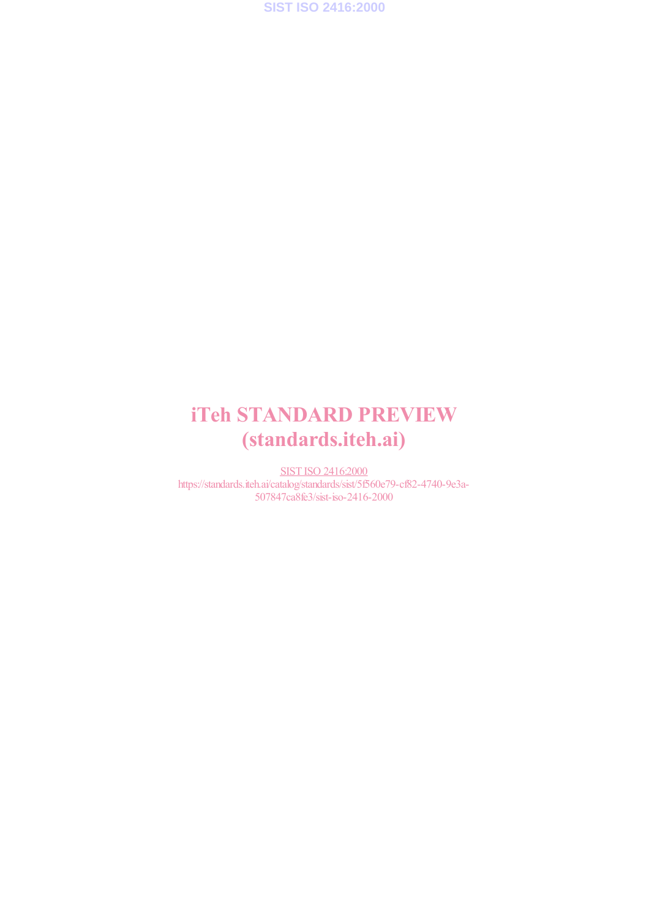

## iTeh STANDARD PREVIEW (standards.iteh.ai)

SIST ISO 2416:2000 https://standards.iteh.ai/catalog/standards/sist/5f560e79-cf82-4740-9e3a-507847ca8fe3/sist-iso-2416-2000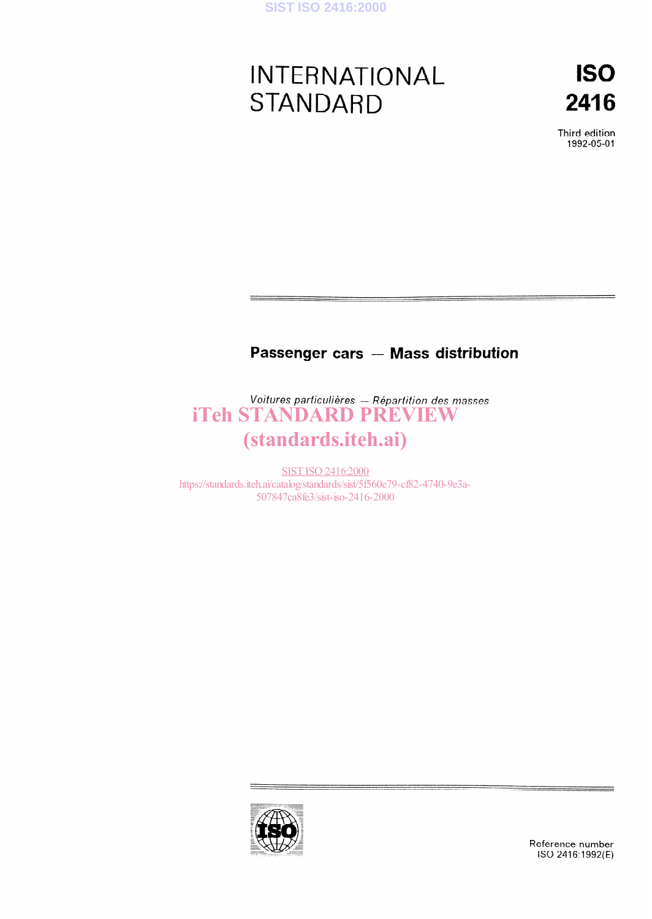**SIST ISO 2416:2000**

# INTERNATIONAL STANDARD

**ISO** 2416

Third edition 1992-05-01

### Passenger cars - Mass distribution

--- \_\_\_- --..- I\_-------- ----- ------- -.-\_- --\_ \_\_ --

Voitures particulières – Répartition des masses<br><u>iTeh STANDARD PREVIEW</u> (standards.iteh.ai)

SIST ISO 2416:2000 https://standards.iteh.ai/catalog/standards/sist/5f560e79-cf82-4740-9e3a-507847ca8fe3/sist-iso-2416-2000



Reference number ISO 2416:1992(E)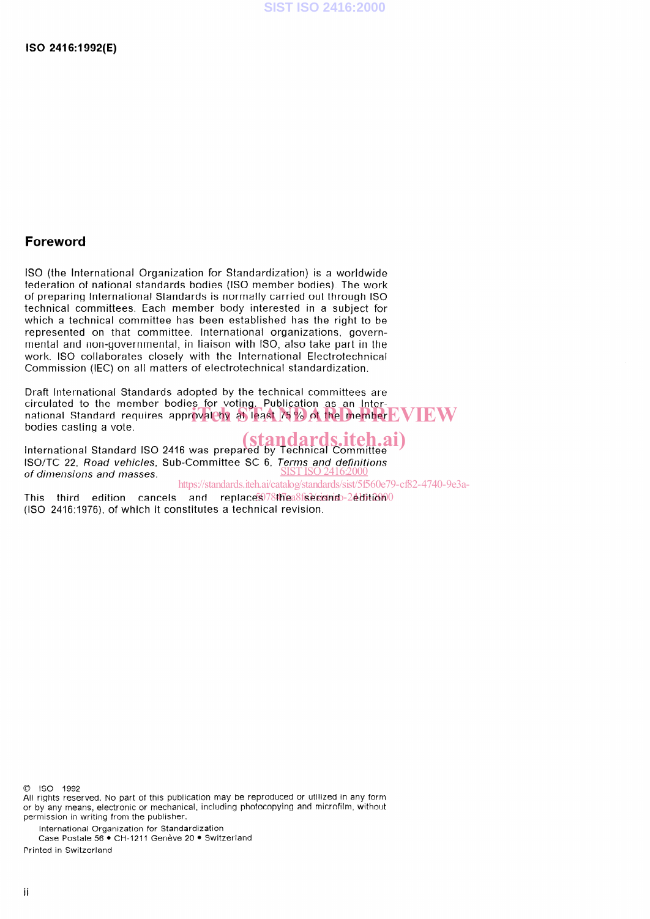#### Foreword

ISO (the International Organization for Standardization) is a worldwide federation of national standards bodies (ISO member bodies). The work of preparing International Standards is normally carried out through ISO technical committees. Esch member body interested in a subject for which a technical committee has been established has the right to be represented on that committee. International organizations, governmental and non-governmental, in liaison with ISO, also take part in the work. ISO collaborates closely with the International Electrotechnical Commission (IEC) on all matters of electrotechnical standardization.

Draft International Standards adopted by the technical committees are circulated to the member bodies for voting. Publication as an lnterch culated to the member bodies for voting. Fubilitation as an inter-<br>national Standard requires approvaleby at least 75 % of the member  $EVVEW$ bodies casting a vote.

 $\frac{1}{100}$  Standard ISO 2416 was prepared by Technical Committee  $\frac{1}{100}$  $ISO/TC$  22, Road vehicles, Sub-Committee SC 6, Terms and definitions of dimensions and masses. SIST ISO 2416:2000 https://standards.iteh.ai/catalog/standards/sist/5f560e79-cf82-4740-9e3a-

This third edition cancels and replaces)78#Tea8fsecond -2edition 0 (ISO 2416:1976), of which it constitutes a technical revision.

0 ISO 1992

All rights reserved. No part of this publication may be reproduced or utilized in any form or by any means, electronie or mechanical, including photocopying and microfilm, without permission in writing from the publisher.

International Organization for Standardization

Case Postale 56 . CH-1211 Genève 20 . Switzerland Printed in Switzerland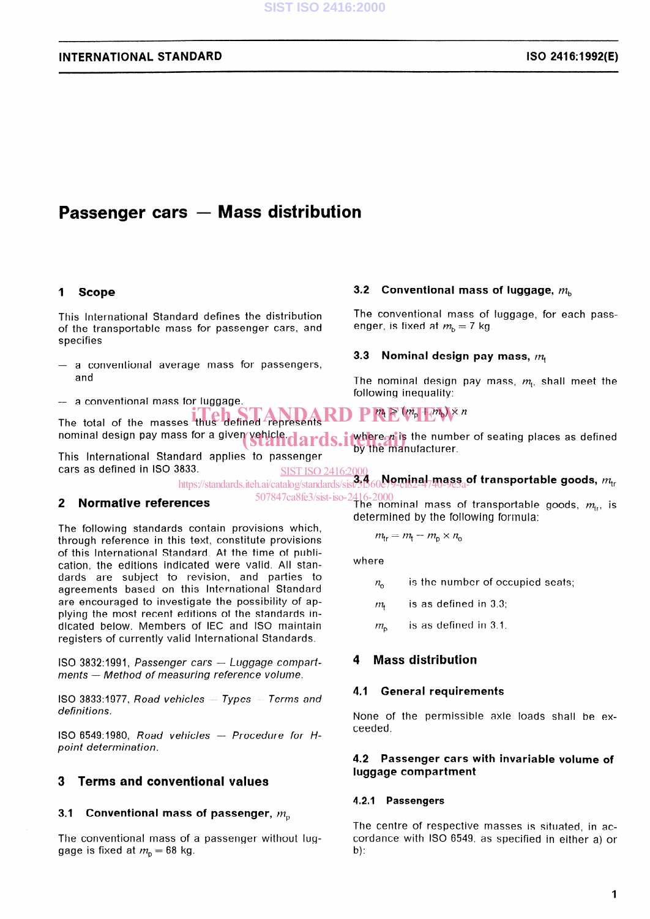### Passenger cars  $-$  Mass distribution

#### 1 Scope

This International Standard defines the distribution of the transportable mass for passenger cars, and specifies

a conventional average mass for passengers, and

#### 3.2 Conventional mass of luggage,  $m_b$

The conventional mass of luggage, for each passenger, is fixed at  $m_b = 7$  kg.

#### 3.3 Nominal design pay mass,  $m_t$

The nominal design pay mass,  $m_{\text{t}}$ , shall meet the following inequality:

-- a conventional mass for luggage.

The total of the masses thus defined represents  $\text{RD}$   $\text{PRF}(m_1 + m_2) \times n$ nominal design pay mass for a given vehicle  $dards.i$  where  $r$  is the number of seating places as define<br>by the manufacturer  $P_{n} \geq (m_{p} + m_{b}) \times n$ 

This International Standard applies to passenger cars as defined in ISO 3833. by the manufacturer.

3.4 Nominal mass of transportable goods, v+, **SIST ISO 2416:2** https://standards.iteh.ai/catalog/standards/si 507847ca8fe3/sist-iso-2

#### 2 Normative references

 $\frac{410-2000}{10}$  minal mass of transportable goods,  $m_{\text{tr}}$ , is determined by the following formula:

$$
m_{\rm tr} = m_{\rm t} - m_{\rm p} \times n_{\rm o}
$$

where

 $n_0$  is the number of occupied seats;

 $m<sub>f</sub>$  is as defined in 3.3;

 $m_{\rm p}$  is as defined in 3.1.

#### **Mass distribution**

#### 4.1 General requirements

None of the permissible axle loads shall be exceeded.

#### 4.2 Passenger cars with invariable volume of luggage compartment

#### 4.2.1 Passengers

The centre of respective masses is situated, in accordance with ISO 6549, as specified in either a) or<br>b)

The following standards contain provisions which, through reference in this text, constitute provisions of this International Standard. At the time of publication, the editions indicated were valid. All standards are subject to revision, and parties to agreements based on this International Standard are encouraged to investigate the possibility of applying the most recent editions of the Standards indicated below. Members of IEC and ISO maintain registers of currently valid International Standards.

 $ISO$  3832:1991, Passenger cars  $-$  Luggage compart $ments - Method$  of measuring reference volume.

 $ISO$  3833:1977, Road vehicles  $-$  Types  $-$  Terms and definitions.

ISO 6549:1980, Road vehicles  $-$  Procedure for Hpoint determination.

#### 3 Terms and conventional values

#### 3.1 Conventional mass of passenger,  $m_{\rm o}$

The conventional mass of a passenger without luggage is fixed at  $m_{\rm p} = 68$  kg.